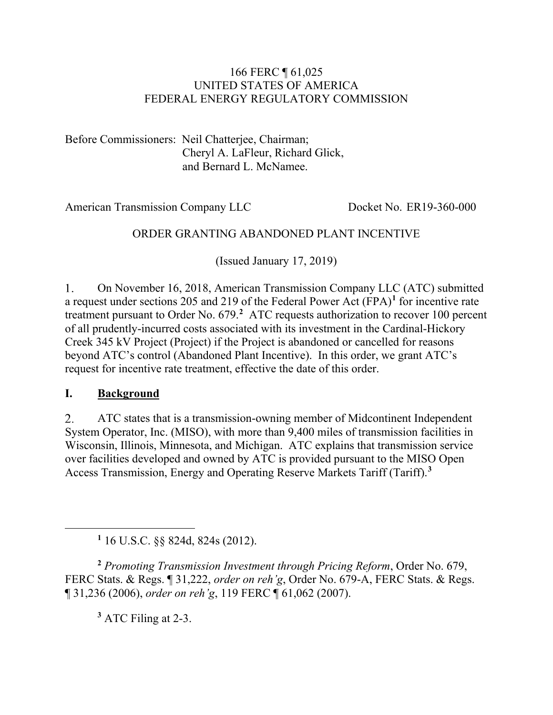#### 166 FERC ¶ 61,025 UNITED STATES OF AMERICA FEDERAL ENERGY REGULATORY COMMISSION

Before Commissioners: Neil Chatterjee, Chairman; Cheryl A. LaFleur, Richard Glick, and Bernard L. McNamee.

American Transmission Company LLC Docket No. ER19-360-000

#### ORDER GRANTING ABANDONED PLANT INCENTIVE

(Issued January 17, 2019)

 $1<sub>1</sub>$ On November 16, 2018, American Transmission Company LLC (ATC) submitted a request under sections 205 and 219 of the Federal Power Act (FPA) **[1](#page-0-0)** for incentive rate treatment pursuant to Order No. 679.**[2](#page-0-1)** ATC requests authorization to recover 100 percent of all prudently-incurred costs associated with its investment in the Cardinal-Hickory Creek 345 kV Project (Project) if the Project is abandoned or cancelled for reasons beyond ATC's control (Abandoned Plant Incentive). In this order, we grant ATC's request for incentive rate treatment, effective the date of this order.

#### **I. Background**

<span id="page-0-0"></span> $\overline{a}$ 

2. ATC states that is a transmission-owning member of Midcontinent Independent System Operator, Inc. (MISO), with more than 9,400 miles of transmission facilities in Wisconsin, Illinois, Minnesota, and Michigan. ATC explains that transmission service over facilities developed and owned by ATC is provided pursuant to the MISO Open Access Transmission, Energy and Operating Reserve Markets Tariff (Tariff).**[3](#page-0-2)**

**<sup>1</sup>** 16 U.S.C. §§ 824d, 824s (2012).

<span id="page-0-2"></span><span id="page-0-1"></span>**<sup>2</sup>** *Promoting Transmission Investment through Pricing Reform*, Order No. 679, FERC Stats. & Regs. ¶ 31,222, *order on reh'g*, Order No. 679-A, FERC Stats. & Regs. ¶ 31,236 (2006), *order on reh'g*, 119 FERC ¶ 61,062 (2007).

**<sup>3</sup>** ATC Filing at 2-3.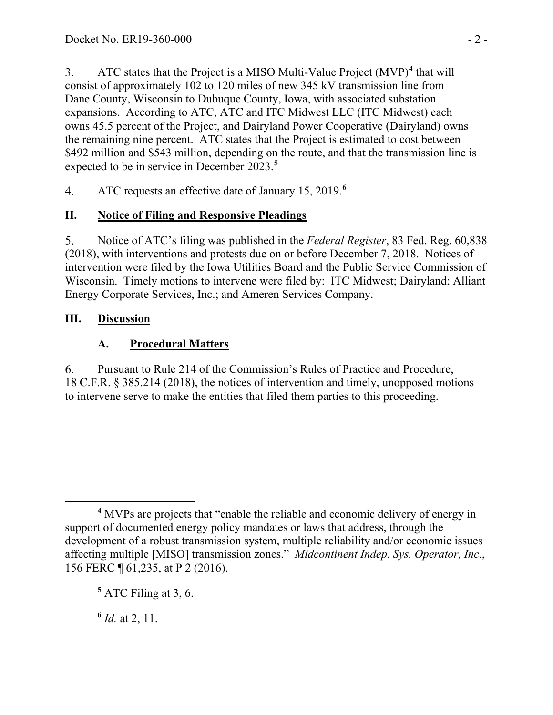ATC states that the Project is a MISO Multi-Value Project (MVP)**[4](#page-1-0)** that will 3. consist of approximately 102 to 120 miles of new 345 kV transmission line from Dane County, Wisconsin to Dubuque County, Iowa, with associated substation expansions. According to ATC, ATC and ITC Midwest LLC (ITC Midwest) each owns 45.5 percent of the Project, and Dairyland Power Cooperative (Dairyland) owns the remaining nine percent. ATC states that the Project is estimated to cost between \$492 million and \$543 million, depending on the route, and that the transmission line is expected to be in service in December 2023.**[5](#page-1-1)**

ATC requests an effective date of January 15, 2019.**[6](#page-1-2)**  $4.$ 

# **II. Notice of Filing and Responsive Pleadings**

5. Notice of ATC's filing was published in the *Federal Register*, 83 Fed. Reg. 60,838 (2018), with interventions and protests due on or before December 7, 2018. Notices of intervention were filed by the Iowa Utilities Board and the Public Service Commission of Wisconsin. Timely motions to intervene were filed by: ITC Midwest; Dairyland; Alliant Energy Corporate Services, Inc.; and Ameren Services Company.

### **III. Discussion**

# **A. Procedural Matters**

6. Pursuant to Rule 214 of the Commission's Rules of Practice and Procedure, 18 C.F.R. § 385.214 (2018), the notices of intervention and timely, unopposed motions to intervene serve to make the entities that filed them parties to this proceeding.

<span id="page-1-2"></span>**<sup>6</sup>** *Id.* at 2, 11.

<span id="page-1-0"></span> $\overline{a}$ **<sup>4</sup>** MVPs are projects that "enable the reliable and economic delivery of energy in support of documented energy policy mandates or laws that address, through the development of a robust transmission system, multiple reliability and/or economic issues affecting multiple [MISO] transmission zones." *Midcontinent Indep. Sys. Operator, Inc.*, 156 FERC ¶ 61,235, at P 2 (2016).

<span id="page-1-1"></span>**<sup>5</sup>** ATC Filing at 3, 6.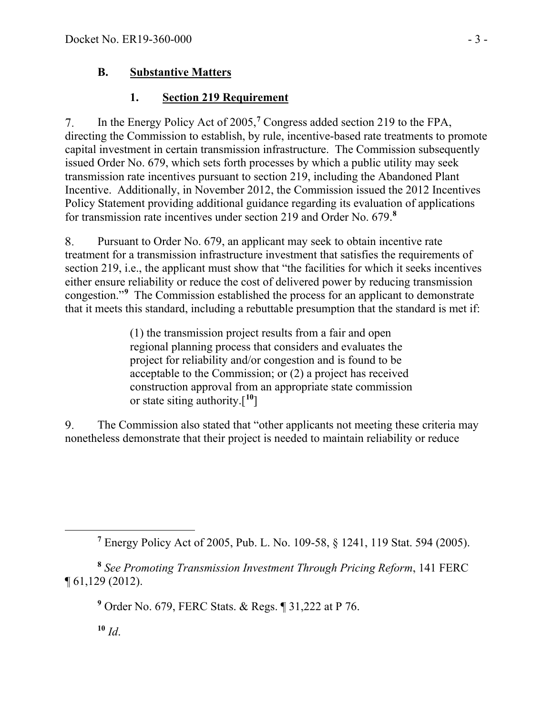## **B. Substantive Matters**

# **1. Section 219 Requirement**

In the Energy Policy Act of 2005,**[7](#page-2-0)** Congress added section 219 to the FPA, 7. directing the Commission to establish, by rule, incentive-based rate treatments to promote capital investment in certain transmission infrastructure. The Commission subsequently issued Order No. 679, which sets forth processes by which a public utility may seek transmission rate incentives pursuant to section 219, including the Abandoned Plant Incentive. Additionally, in November 2012, the Commission issued the 2012 Incentives Policy Statement providing additional guidance regarding its evaluation of applications for transmission rate incentives under section 219 and Order No. 679.**[8](#page-2-1)**

Pursuant to Order No. 679, an applicant may seek to obtain incentive rate 8. treatment for a transmission infrastructure investment that satisfies the requirements of section 219, i.e., the applicant must show that "the facilities for which it seeks incentives either ensure reliability or reduce the cost of delivered power by reducing transmission congestion."**[9](#page-2-2)** The Commission established the process for an applicant to demonstrate that it meets this standard, including a rebuttable presumption that the standard is met if:

> (1) the transmission project results from a fair and open regional planning process that considers and evaluates the project for reliability and/or congestion and is found to be acceptable to the Commission; or (2) a project has received construction approval from an appropriate state commission or state siting authority.[**[10](#page-2-3)**]

The Commission also stated that "other applicants not meeting these criteria may 9. nonetheless demonstrate that their project is needed to maintain reliability or reduce

**<sup>9</sup>** Order No. 679, FERC Stats. & Regs. ¶ 31,222 at P 76.

 $10 \, Id.$ 

<span id="page-2-0"></span> $\overline{a}$ 

**<sup>7</sup>** Energy Policy Act of 2005, Pub. L. No. 109-58, § 1241, 119 Stat. 594 (2005).

<span id="page-2-3"></span><span id="page-2-2"></span><span id="page-2-1"></span>**<sup>8</sup>** *See Promoting Transmission Investment Through Pricing Reform*, 141 FERC ¶ 61,129 (2012).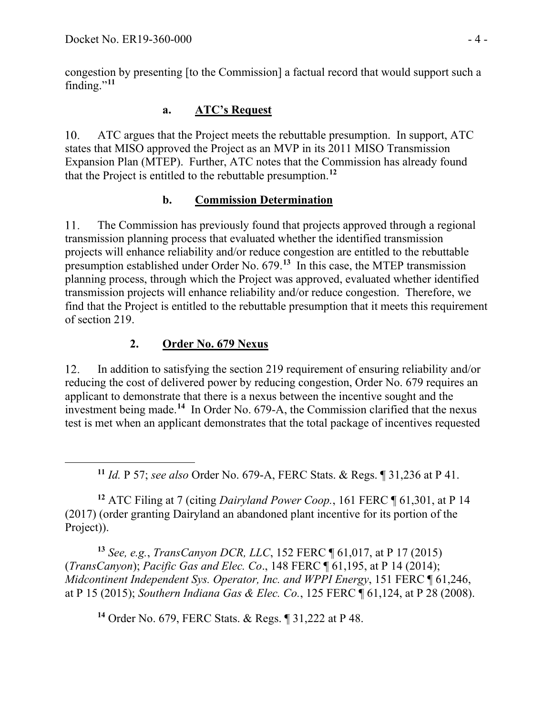<span id="page-3-0"></span> $\overline{a}$ 

congestion by presenting [to the Commission] a factual record that would support such a finding."**[11](#page-3-0)**

## **a. ATC's Request**

ATC argues that the Project meets the rebuttable presumption. In support, ATC  $10.$ states that MISO approved the Project as an MVP in its 2011 MISO Transmission Expansion Plan (MTEP). Further, ATC notes that the Commission has already found that the Project is entitled to the rebuttable presumption. **[12](#page-3-1)**

### **b. Commission Determination**

11. The Commission has previously found that projects approved through a regional transmission planning process that evaluated whether the identified transmission projects will enhance reliability and/or reduce congestion are entitled to the rebuttable presumption established under Order No. 679.**[13](#page-3-2)** In this case, the MTEP transmission planning process, through which the Project was approved, evaluated whether identified transmission projects will enhance reliability and/or reduce congestion. Therefore, we find that the Project is entitled to the rebuttable presumption that it meets this requirement of section 219.

#### **2. Order No. 679 Nexus**

12. In addition to satisfying the section 219 requirement of ensuring reliability and/or reducing the cost of delivered power by reducing congestion, Order No. 679 requires an applicant to demonstrate that there is a nexus between the incentive sought and the investment being made.**[14](#page-3-3)** In Order No. 679-A, the Commission clarified that the nexus test is met when an applicant demonstrates that the total package of incentives requested

**<sup>11</sup>** *Id.* P 57; *see also* Order No. 679-A, FERC Stats. & Regs. ¶ 31,236 at P 41.

<span id="page-3-1"></span>**<sup>12</sup>** ATC Filing at 7 (citing *Dairyland Power Coop.*, 161 FERC ¶ 61,301, at P 14 (2017) (order granting Dairyland an abandoned plant incentive for its portion of the Project)).

<span id="page-3-3"></span><span id="page-3-2"></span>**<sup>13</sup>** *See, e.g.*, *TransCanyon DCR, LLC*, 152 FERC ¶ 61,017, at P 17 (2015) (*TransCanyon*); *Pacific Gas and Elec. Co*., 148 FERC ¶ 61,195, at P 14 (2014); *Midcontinent Independent Sys. Operator, Inc. and WPPI Energy*, 151 FERC ¶ 61,246, at P 15 (2015); *Southern Indiana Gas & Elec. Co.*, 125 FERC ¶ 61,124, at P 28 (2008).

**<sup>14</sup>** Order No. 679, FERC Stats. & Regs. ¶ 31,222 at P 48.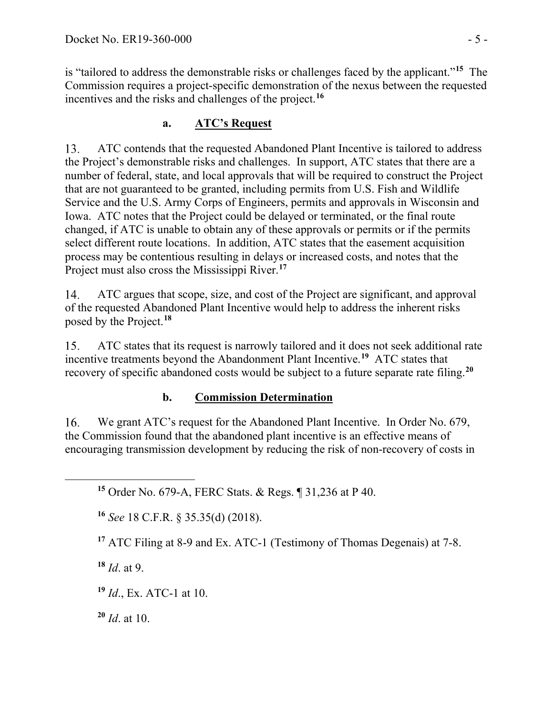is "tailored to address the demonstrable risks or challenges faced by the applicant."**[15](#page-4-0)** The Commission requires a project-specific demonstration of the nexus between the requested incentives and the risks and challenges of the project.**[16](#page-4-1)**

# **a. ATC's Request**

13. ATC contends that the requested Abandoned Plant Incentive is tailored to address the Project's demonstrable risks and challenges. In support, ATC states that there are a number of federal, state, and local approvals that will be required to construct the Project that are not guaranteed to be granted, including permits from U.S. Fish and Wildlife Service and the U.S. Army Corps of Engineers, permits and approvals in Wisconsin and Iowa. ATC notes that the Project could be delayed or terminated, or the final route changed, if ATC is unable to obtain any of these approvals or permits or if the permits select different route locations. In addition, ATC states that the easement acquisition process may be contentious resulting in delays or increased costs, and notes that the Project must also cross the Mississippi River. **[17](#page-4-2)**

14. ATC argues that scope, size, and cost of the Project are significant, and approval of the requested Abandoned Plant Incentive would help to address the inherent risks posed by the Project. **[18](#page-4-3)**

ATC states that its request is narrowly tailored and it does not seek additional rate 15. incentive treatments beyond the Abandonment Plant Incentive. **[19](#page-4-4)** ATC states that recovery of specific abandoned costs would be subject to a future separate rate filing.**[20](#page-4-5)**

# **b. Commission Determination**

We grant ATC's request for the Abandoned Plant Incentive. In Order No. 679, 16. the Commission found that the abandoned plant incentive is an effective means of encouraging transmission development by reducing the risk of non-recovery of costs in

**<sup>16</sup>** *See* 18 C.F.R. § 35.35(d) (2018).

**<sup>17</sup>** ATC Filing at 8-9 and Ex. ATC-1 (Testimony of Thomas Degenais) at 7-8.

<span id="page-4-3"></span>**<sup>18</sup>** *Id*. at 9.

<span id="page-4-2"></span><span id="page-4-1"></span><span id="page-4-0"></span> $\overline{a}$ 

<span id="page-4-4"></span>**<sup>19</sup>** *Id*., Ex. ATC-1 at 10.

<span id="page-4-5"></span>**<sup>20</sup>** *Id*. at 10.

**<sup>15</sup>** Order No. 679-A, FERC Stats. & Regs. ¶ 31,236 at P 40.